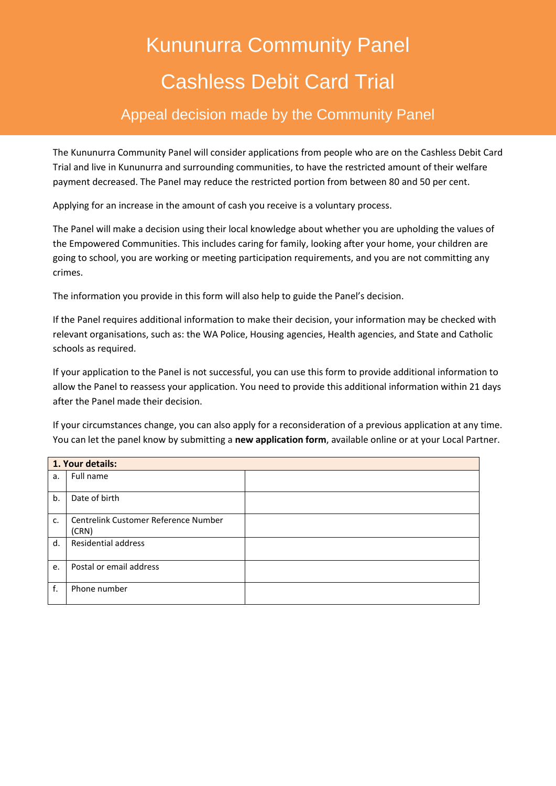# Kununurra Community Panel Cashless Debit Card Trial

# Appeal decision made by the Community Panel

The Kununurra Community Panel will consider applications from people who are on the Cashless Debit Card Trial and live in Kununurra and surrounding communities, to have the restricted amount of their welfare payment decreased. The Panel may reduce the restricted portion from between 80 and 50 per cent.

Applying for an increase in the amount of cash you receive is a voluntary process.

The Panel will make a decision using their local knowledge about whether you are upholding the values of the Empowered Communities. This includes caring for family, looking after your home, your children are going to school, you are working or meeting participation requirements, and you are not committing any crimes.

The information you provide in this form will also help to guide the Panel's decision.

If the Panel requires additional information to make their decision, your information may be checked with relevant organisations, such as: the WA Police, Housing agencies, Health agencies, and State and Catholic schools as required.

If your application to the Panel is not successful, you can use this form to provide additional information to allow the Panel to reassess your application. You need to provide this additional information within 21 days after the Panel made their decision.

If your circumstances change, you can also apply for a reconsideration of a previous application at any time. You can let the panel know by submitting a **new application form**, available online or at your Local Partner.

| 1. Your details: |                                               |  |
|------------------|-----------------------------------------------|--|
| a.               | Full name                                     |  |
| b.               | Date of birth                                 |  |
| c.               | Centrelink Customer Reference Number<br>(CRN) |  |
| d.               | <b>Residential address</b>                    |  |
| e.               | Postal or email address                       |  |
| f.               | Phone number                                  |  |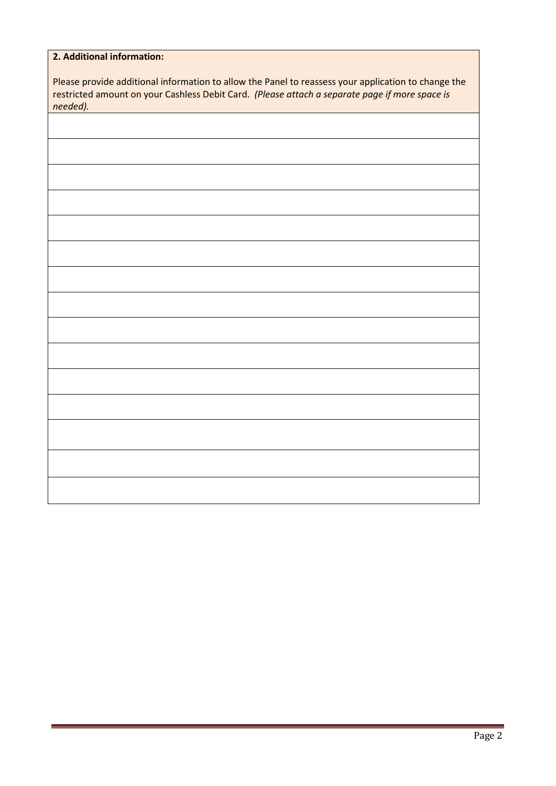| 2. Additional information:                                                                          |
|-----------------------------------------------------------------------------------------------------|
|                                                                                                     |
| Please provide additional information to allow the Panel to reassess your application to change the |
| restricted amount on your Cashless Debit Card. (Please attach a separate page if more space is      |
| needed).                                                                                            |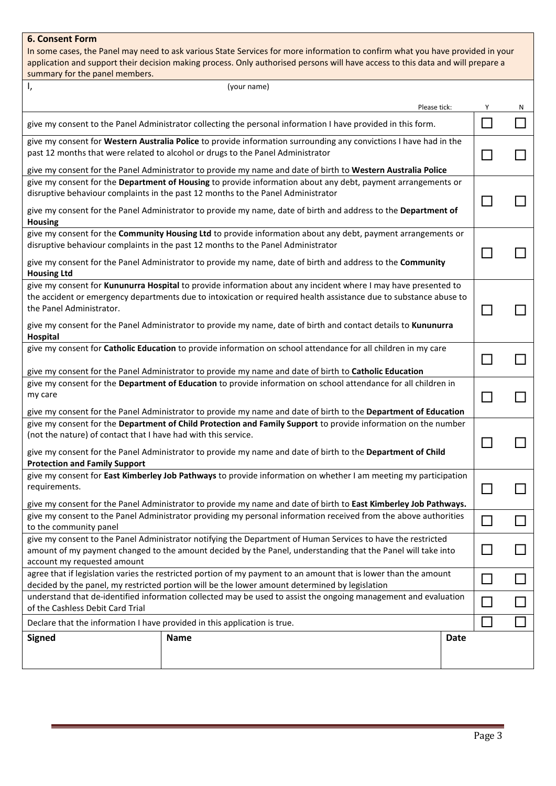### **6. Consent Form**

In some cases, the Panel may need to ask various State Services for more information to confirm what you have provided in your application and support their decision making process. Only authorised persons will have access to this data and will prepare a summary for the panel members.

| Ι,<br>(your name)                                                                                                                                                                                                                                                                                                |  |   |   |
|------------------------------------------------------------------------------------------------------------------------------------------------------------------------------------------------------------------------------------------------------------------------------------------------------------------|--|---|---|
| Please tick:                                                                                                                                                                                                                                                                                                     |  | Υ | N |
| give my consent to the Panel Administrator collecting the personal information I have provided in this form.                                                                                                                                                                                                     |  |   |   |
| give my consent for Western Australia Police to provide information surrounding any convictions I have had in the<br>past 12 months that were related to alcohol or drugs to the Panel Administrator                                                                                                             |  |   |   |
| give my consent for the Panel Administrator to provide my name and date of birth to Western Australia Police<br>give my consent for the Department of Housing to provide information about any debt, payment arrangements or<br>disruptive behaviour complaints in the past 12 months to the Panel Administrator |  |   |   |
| give my consent for the Panel Administrator to provide my name, date of birth and address to the Department of<br><b>Housing</b>                                                                                                                                                                                 |  |   |   |
| give my consent for the Community Housing Ltd to provide information about any debt, payment arrangements or<br>disruptive behaviour complaints in the past 12 months to the Panel Administrator                                                                                                                 |  |   |   |
| give my consent for the Panel Administrator to provide my name, date of birth and address to the Community<br><b>Housing Ltd</b>                                                                                                                                                                                 |  |   |   |
| give my consent for Kununurra Hospital to provide information about any incident where I may have presented to<br>the accident or emergency departments due to intoxication or required health assistance due to substance abuse to<br>the Panel Administrator.                                                  |  |   |   |
| give my consent for the Panel Administrator to provide my name, date of birth and contact details to Kununurra<br>Hospital                                                                                                                                                                                       |  |   |   |
| give my consent for Catholic Education to provide information on school attendance for all children in my care                                                                                                                                                                                                   |  |   |   |
| give my consent for the Panel Administrator to provide my name and date of birth to Catholic Education<br>give my consent for the Department of Education to provide information on school attendance for all children in<br>my care                                                                             |  |   |   |
| give my consent for the Panel Administrator to provide my name and date of birth to the Department of Education<br>give my consent for the Department of Child Protection and Family Support to provide information on the number                                                                                |  |   |   |
| (not the nature) of contact that I have had with this service.                                                                                                                                                                                                                                                   |  |   |   |
| give my consent for the Panel Administrator to provide my name and date of birth to the Department of Child<br><b>Protection and Family Support</b>                                                                                                                                                              |  |   |   |
| give my consent for East Kimberley Job Pathways to provide information on whether I am meeting my participation<br>requirements.                                                                                                                                                                                 |  |   |   |
| give my consent for the Panel Administrator to provide my name and date of birth to East Kimberley Job Pathways.<br>give my consent to the Panel Administrator providing my personal information received from the above authorities                                                                             |  |   |   |
| to the community panel<br>give my consent to the Panel Administrator notifying the Department of Human Services to have the restricted<br>amount of my payment changed to the amount decided by the Panel, understanding that the Panel will take into<br>account my requested amount                            |  |   |   |
| agree that if legislation varies the restricted portion of my payment to an amount that is lower than the amount                                                                                                                                                                                                 |  |   |   |
| decided by the panel, my restricted portion will be the lower amount determined by legislation<br>understand that de-identified information collected may be used to assist the ongoing management and evaluation                                                                                                |  |   |   |
| of the Cashless Debit Card Trial                                                                                                                                                                                                                                                                                 |  |   |   |
| Declare that the information I have provided in this application is true.                                                                                                                                                                                                                                        |  |   |   |
| <b>Signed</b><br><b>Name</b><br><b>Date</b>                                                                                                                                                                                                                                                                      |  |   |   |
|                                                                                                                                                                                                                                                                                                                  |  |   |   |